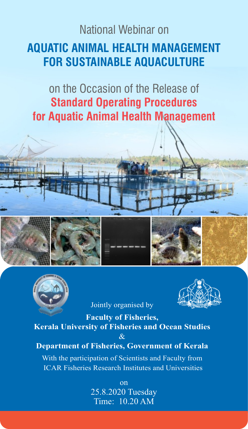## **AQUATIC ANIMAL HEALTH MANAGEMENT FOR SUSTAINABLE AQUACULTURE** National Webinar on

on the Occasion of the Release of **Standard Operating Procedures for Aquatic Animal Health Management**



Jointly organised by



**Faculty of Fisheries, Kerala University of Fisheries and Ocean Studies** & **Department of Fisheries, Government of Kerala**

With the participation of Scientists and Faculty from ICAR Fisheries Research Institutes and Universities

> on 25.8.2020 Tuesday Time: 10.20 AM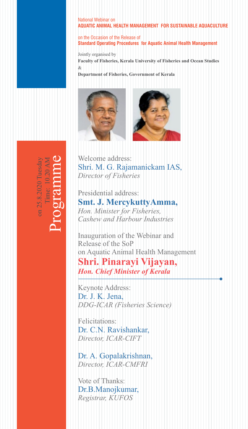## National Webinar on **AQUATIC ANIMAL HEALTH MANAGEMENT FOR SUSTAINABLE AQUACULTURE**

on the Occasion of the Release of **Standard Operating Procedures for Aquatic Animal Health Management**

Jointly organised by **Faculty of Fisheries, Kerala University of Fisheries and Ocean Studies**  $\mathcal{R}_{\mathcal{T}}$ 

**Department of Fisheries, Government of Kerala**





Welcome address: *Director of Fisheries* Shri. M. G. Rajamanickam IAS,

Presidential address: *Hon. Minister for Fisheries, Cashew and Harbour Industries* **Smt. J. MercykuttyAmma,**

Inauguration of the Webinar and Release of the SoP on Aquatic Animal Health Management **Shri. Pinarayi Vijayan,**  *Hon. Chief Minister of Kerala*

Keynote Address: *DDG-ICAR (Fisheries Science)* Dr. J. K. Jena,

Felicitations: *Director, ICAR-CIFT* Dr. C.N. Ravishankar,

*Director, ICAR-CMFRI* Dr. A. Gopalakrishnan,

Vote of Thanks: *Registrar, KUFOS* Dr.B.Manojkumar,

Programme Time: 10.20 AMon 25.8.2020 Tuesda on 25.8.2020 ime: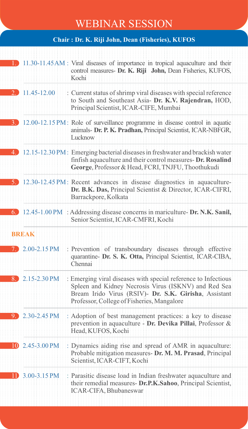## WEBINAR SESSION

**Chair : Dr. K. Riji John, Dean (Fisheries), KUFOS**

|                              | 11.30-11.45 AM : Viral diseases of importance in tropical aquaculture and their<br>control measures- Dr. K. Riji John, Dean Fisheries, KUFOS,<br>Kochi                                                                        |
|------------------------------|-------------------------------------------------------------------------------------------------------------------------------------------------------------------------------------------------------------------------------|
| 2. 11.45-12.00               | : Current status of shrimp viral diseases with special reference<br>to South and Southeast Asia- Dr. K.V. Rajendran, HOD,<br>Principal Scientist, ICAR-CIFE, Mumbai                                                           |
| 3. .                         | 12.00-12.15 PM: Role of surveillance programme in disease control in aquatic<br>animals- Dr. P. K. Pradhan, Principal Scientist, ICAR-NBFGR,<br>Lucknow                                                                       |
| 4.)                          | 12.15-12.30 PM: Emerging bacterial diseases in freshwater and brackish water<br>finfish aquaculture and their control measures- Dr. Rosalind<br>George, Professor & Head, FCRI, TNJFU, Thoothukudi                            |
|                              | 12.30-12.45 PM: Recent advances in disease diagnostics in aquaculture-<br>Dr. B.K. Das, Principal Scientist & Director, ICAR-CIFRI,<br>Barrackpore, Kolkata                                                                   |
| 6. J                         | 12.45-1.00 PM : Addressing disease concerns in mariculture- Dr. N.K. Sanil,<br>Senior Scientist, ICAR-CMFRI, Kochi                                                                                                            |
| <b>BREAK</b>                 |                                                                                                                                                                                                                               |
|                              |                                                                                                                                                                                                                               |
| $2.00 - 2.15$ PM             | : Prevention of transboundary diseases through effective<br>quarantine- Dr. S. K. Otta, Principal Scientist, ICAR-CIBA,<br>Chennai                                                                                            |
| 8. $2.15 - 2.30 \text{ PM}$  | : Emerging viral diseases with special reference to Infectious<br>Spleen and Kidney Necrosis Virus (ISKNV) and Red Sea<br>Bream Irido Virus (RSIV)- Dr. S.K. Girisha, Assistant<br>Professor, College of Fisheries, Mangalore |
| $2.30 - 2.45$ PM<br>9.       | : Adoption of best management practices: a key to disease<br>prevention in aquaculture - Dr. Devika Pillai, Professor &<br>Head, KUFOS, Kochi                                                                                 |
| $10\,2.45 - 3.00 \text{ PM}$ | : Dynamics aiding rise and spread of AMR in aquaculture:<br>Probable mitigation measures- Dr. M. M. Prasad, Principal<br>Scientist, ICAR-CIFT, Kochi                                                                          |